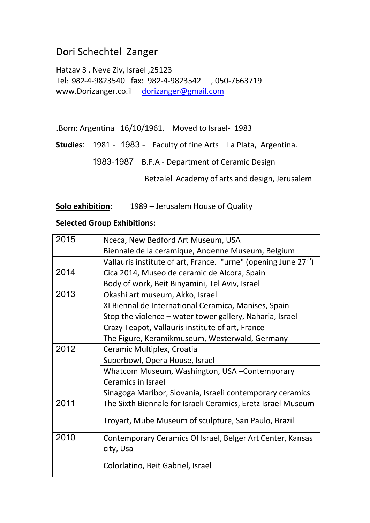# Dori Schechtel Zanger

Hatzav 3 , Neve Ziv, Israel ,25123 Tel: 289-4-9823540 fax: 989-4-9823542 , 050-7663719 www.Dorizanger.co.il [dorizanger@gmail.com](mailto:dorizanger@gmail.com)

.Born: Argentina 16/10/1961, Moved to Israel- 1983

Studies: 1981 - 1983 - Faculty of fine Arts - La Plata, Argentina.

1983-1987 B.F.A - Department of Ceramic Design

Betzalel Academy of arts and design, Jerusalem

**Solo exhibition**: 1989 – Jerusalem House of Quality

#### **Selected Group Exhibitions:**

| 2015 | Nceca, New Bedford Art Museum, USA                                          |
|------|-----------------------------------------------------------------------------|
|      | Biennale de la ceramique, Andenne Museum, Belgium                           |
|      | Vallauris institute of art, France. "urne" (opening June 27 <sup>th</sup> ) |
| 2014 | Cica 2014, Museo de ceramic de Alcora, Spain                                |
|      | Body of work, Beit Binyamini, Tel Aviv, Israel                              |
| 2013 | Okashi art museum, Akko, Israel                                             |
|      | XI Biennal de International Ceramica, Manises, Spain                        |
|      | Stop the violence – water tower gallery, Naharia, Israel                    |
|      | Crazy Teapot, Vallauris institute of art, France                            |
|      | The Figure, Keramikmuseum, Westerwald, Germany                              |
| 2012 | Ceramic Multiplex, Croatia                                                  |
|      | Superbowl, Opera House, Israel                                              |
|      | Whatcom Museum, Washington, USA - Contemporary                              |
|      | <b>Ceramics in Israel</b>                                                   |
|      | Sinagoga Maribor, Slovania, Israeli contemporary ceramics                   |
| 2011 | The Sixth Biennale for Israeli Ceramics, Eretz Israel Museum                |
|      | Troyart, Mube Museum of sculpture, San Paulo, Brazil                        |
| 2010 | Contemporary Ceramics Of Israel, Belger Art Center, Kansas                  |
|      | city, Usa                                                                   |
|      | Colorlatino, Beit Gabriel, Israel                                           |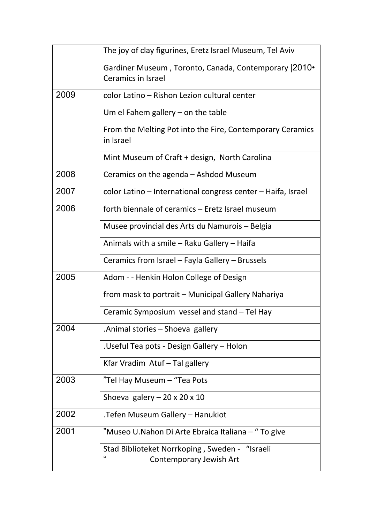|      | The joy of clay figurines, Eretz Israel Museum, Tel Aviv                                          |
|------|---------------------------------------------------------------------------------------------------|
|      | Gardiner Museum, Toronto, Canada, Contemporary 2010.<br><b>Ceramics in Israel</b>                 |
| 2009 | color Latino - Rishon Lezion cultural center                                                      |
|      | Um el Fahem gallery $-$ on the table                                                              |
|      | From the Melting Pot into the Fire, Contemporary Ceramics<br>in Israel                            |
|      | Mint Museum of Craft + design, North Carolina                                                     |
| 2008 | Ceramics on the agenda - Ashdod Museum                                                            |
| 2007 | color Latino - International congress center - Haifa, Israel                                      |
| 2006 | forth biennale of ceramics - Eretz Israel museum                                                  |
|      | Musee provincial des Arts du Namurois - Belgia                                                    |
|      | Animals with a smile – Raku Gallery – Haifa                                                       |
|      | Ceramics from Israel - Fayla Gallery - Brussels                                                   |
| 2005 | Adom - - Henkin Holon College of Design                                                           |
|      | from mask to portrait – Municipal Gallery Nahariya                                                |
|      | Ceramic Symposium vessel and stand – Tel Hay                                                      |
| 2004 | .Animal stories - Shoeva gallery                                                                  |
|      | .Useful Tea pots - Design Gallery - Holon                                                         |
|      | Kfar Vradim Atuf - Tal gallery                                                                    |
| 2003 | "Tel Hay Museum – "Tea Pots                                                                       |
|      | Shoeva galery $-20 \times 20 \times 10$                                                           |
| 2002 | .Tefen Museum Gallery - Hanukiot                                                                  |
| 2001 | "Museo U.Nahon Di Arte Ebraica Italiana - " To give                                               |
|      | Stad Biblioteket Norrkoping, Sweden - "Israeli<br>$\pmb{\mathfrak{c}}$<br>Contemporary Jewish Art |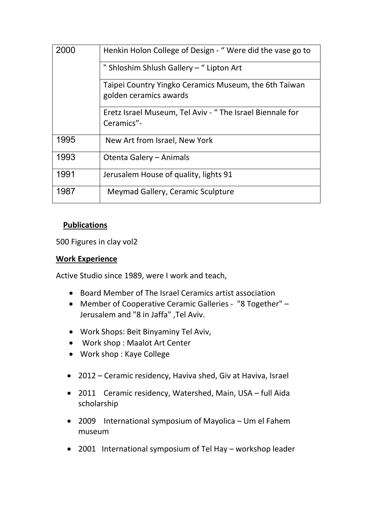|      | Henkin Holon College of Design - "Were did the vase go to                       |
|------|---------------------------------------------------------------------------------|
|      | " Shloshim Shlush Gallery - " Lipton Art                                        |
|      | Taipei Country Yingko Ceramics Museum, the 6th Taiwan<br>golden ceramics awards |
|      | Eretz Israel Museum, Tel Aviv - "The Israel Biennale for<br>Ceramics"-          |
| 1995 | New Art from Israel, New York                                                   |
| 1993 | Otenta Galery - Animals                                                         |
| 1991 | Jerusalem House of quality, lights 91                                           |
| 1987 | Meymad Gallery, Ceramic Sculpture                                               |

### **Publications**

500 Figures in clay vol2

### **Work Experience**

Active Studio since 1989, were I work and teach,

- Board Member of The Israel Ceramics artist association
- Member of Cooperative Ceramic Galleries "8 Together" Jerusalem and "8 in Jaffa" ,Tel Aviv.
- Work Shops: Beit Binyaminy Tel Aviv,
- Work shop : Maalot Art Center
- Work shop : Kaye College
- 2012 Ceramic residency, Haviva shed, Giv at Haviva, Israel
- 2011 Ceramic residency, Watershed, Main, USA full Aida scholarship
- 2009 International symposium of Mayolica Um el Fahem museum
- 2001 International symposium of Tel Hay workshop leader